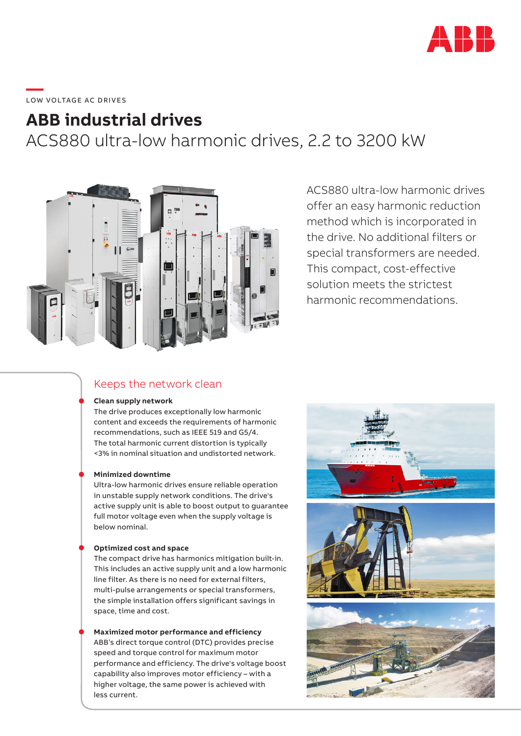

# \_\_\_\_\_<br>LOW VOLTAGE AC DRIVES

## **ABB industrial drives**

ACS880 ultra-low harmonic drives, 2.2 to 3200 kW



ACS880 ultra-low harmonic drives offer an easy harmonic reduction method which is incorporated in the drive. No additional filters or special transformers are needed. This compact, cost-effective solution meets the strictest harmonic recommendations.

### Keeps the network clean

### **Clean supply network**

The drive produces exceptionally low harmonic content and exceeds the requirements of harmonic recommendations, such as IEEE 519 and G5/4. The total harmonic current distortion is typically <3% in nominal situation and undistorted network.

### **Minimized downtime**

Ultra-low harmonic drives ensure reliable operation in unstable supply network conditions. The drive's active supply unit is able to boost output to guarantee full motor voltage even when the supply voltage is below nominal.

### **Optimized cost and space**

The compact drive has harmonics mitigation built-in. This includes an active supply unit and a low harmonic line filter. As there is no need for external filters, multi-pulse arrangements or special transformers, the simple installation offers significant savings in space, time and cost.

**Maximized motor performance and efficiency** ABB's direct torque control (DTC) provides precise speed and torque control for maximum motor performance and efficiency. The drive's voltage boost capability also improves motor efficiency – with a higher voltage, the same power is achieved with less current.